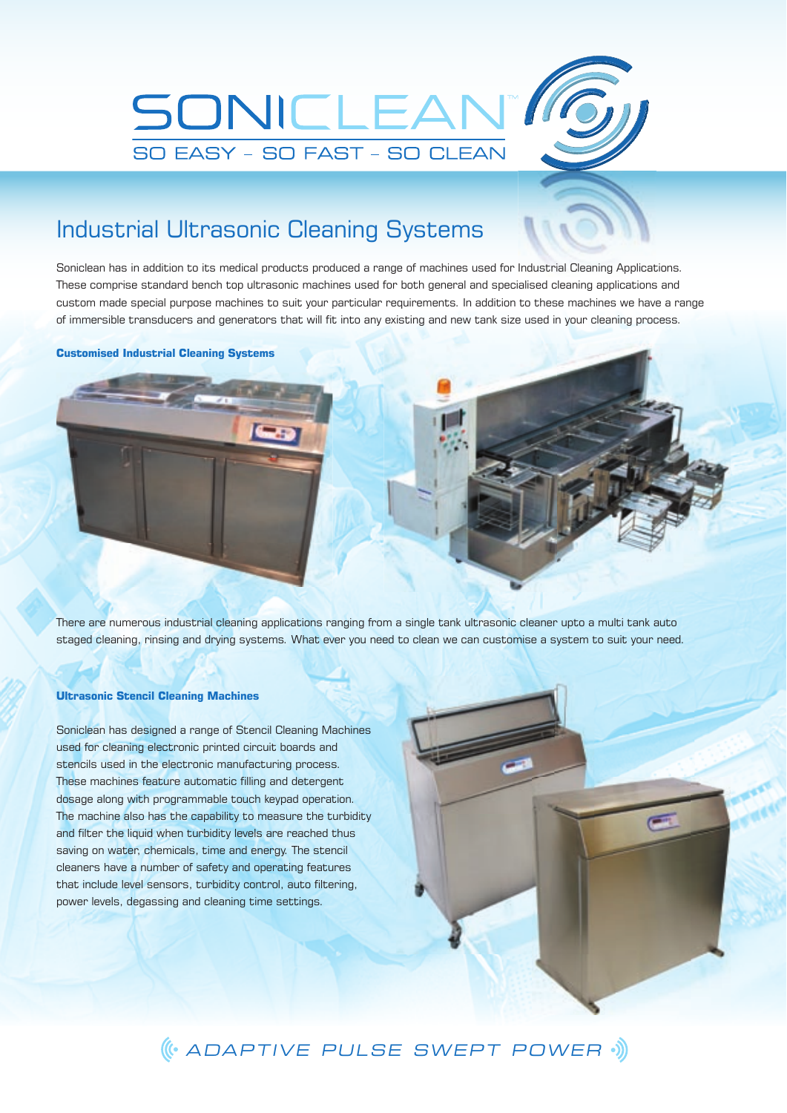

# Industrial Ultrasonic Cleaning Systems

Soniclean has in addition to its medical products produced a range of machines used for Industrial Cleaning Applications. These comprise standard bench top ultrasonic machines used for both general and specialised cleaning applications and custom made special purpose machines to suit your particular requirements. In addition to these machines we have a range of immersible transducers and generators that will fit into any existing and new tank size used in your cleaning process.

### **Customised Industrial Cleaning Systems**



There are numerous industrial cleaning applications ranging from a single tank ultrasonic cleaner upto a multi tank auto staged cleaning, rinsing and drying systems. What ever you need to clean we can customise a system to suit your need.

## **Ultrasonic Stencil Cleaning Machines**

Soniclean has designed a range of Stencil Cleaning Machines used for cleaning electronic printed circuit boards and stencils used in the electronic manufacturing process. These machines feature automatic filling and detergent dosage along with programmable touch keypad operation. The machine also has the capability to measure the turbidity and filter the liquid when turbidity levels are reached thus saving on water, chemicals, time and energy. The stencil cleaners have a number of safety and operating features that include level sensors, turbidity control, auto filtering, power levels, degassing and cleaning time settings.

# ADAPTIVE PULSE SWEPT POWER